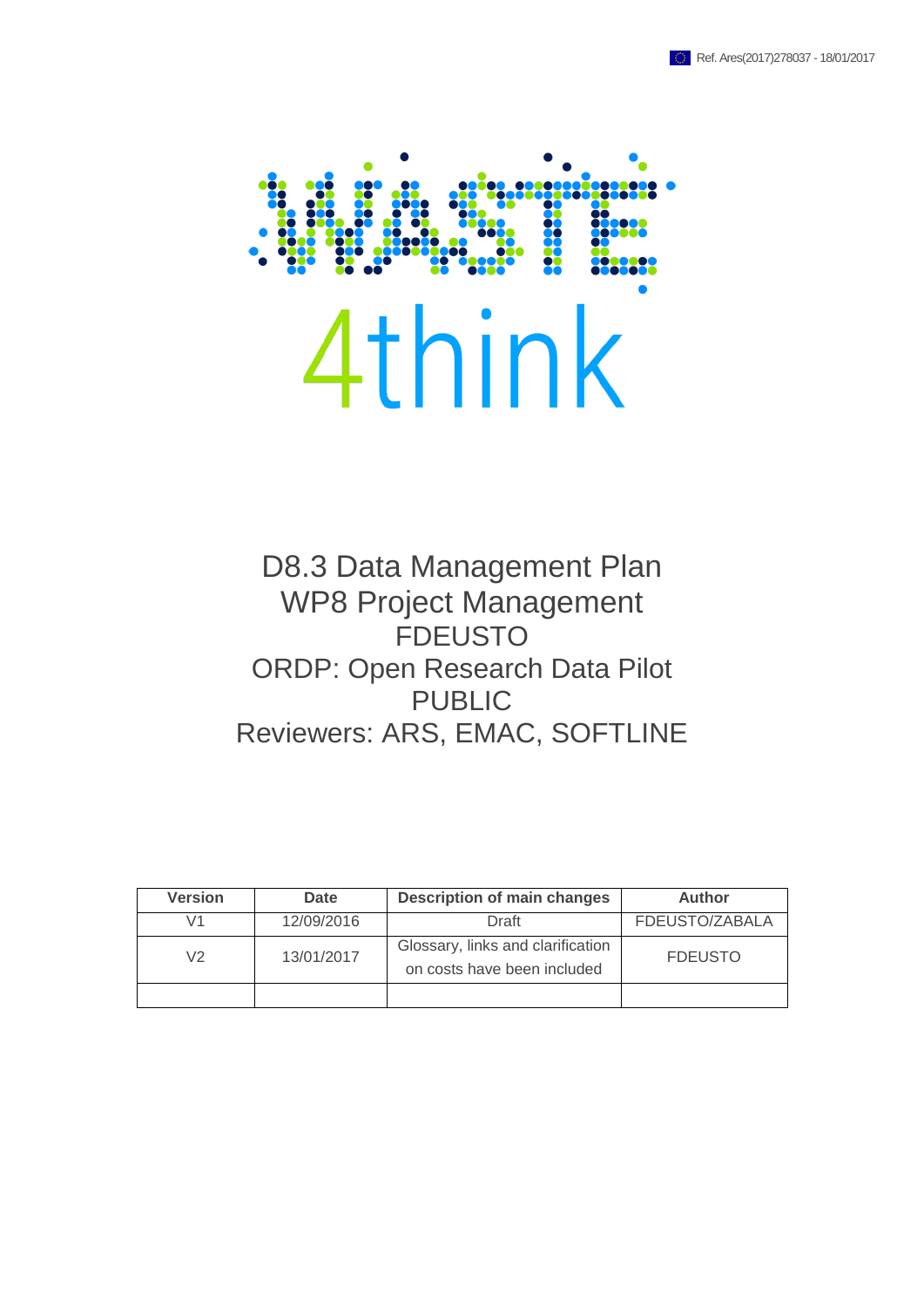

D8.3 Data Management Plan WP8 Project Management FDEUSTO ORDP: Open Research Data Pilot PUBLIC Reviewers: ARS, EMAC, SOFTLINE

| <b>Version</b> | Date       | <b>Description of main changes</b>                               | <b>Author</b>  |
|----------------|------------|------------------------------------------------------------------|----------------|
| V1             | 12/09/2016 | Draft                                                            | FDEUSTO/ZABALA |
| V <sub>2</sub> | 13/01/2017 | Glossary, links and clarification<br>on costs have been included | <b>FDEUSTO</b> |
|                |            |                                                                  |                |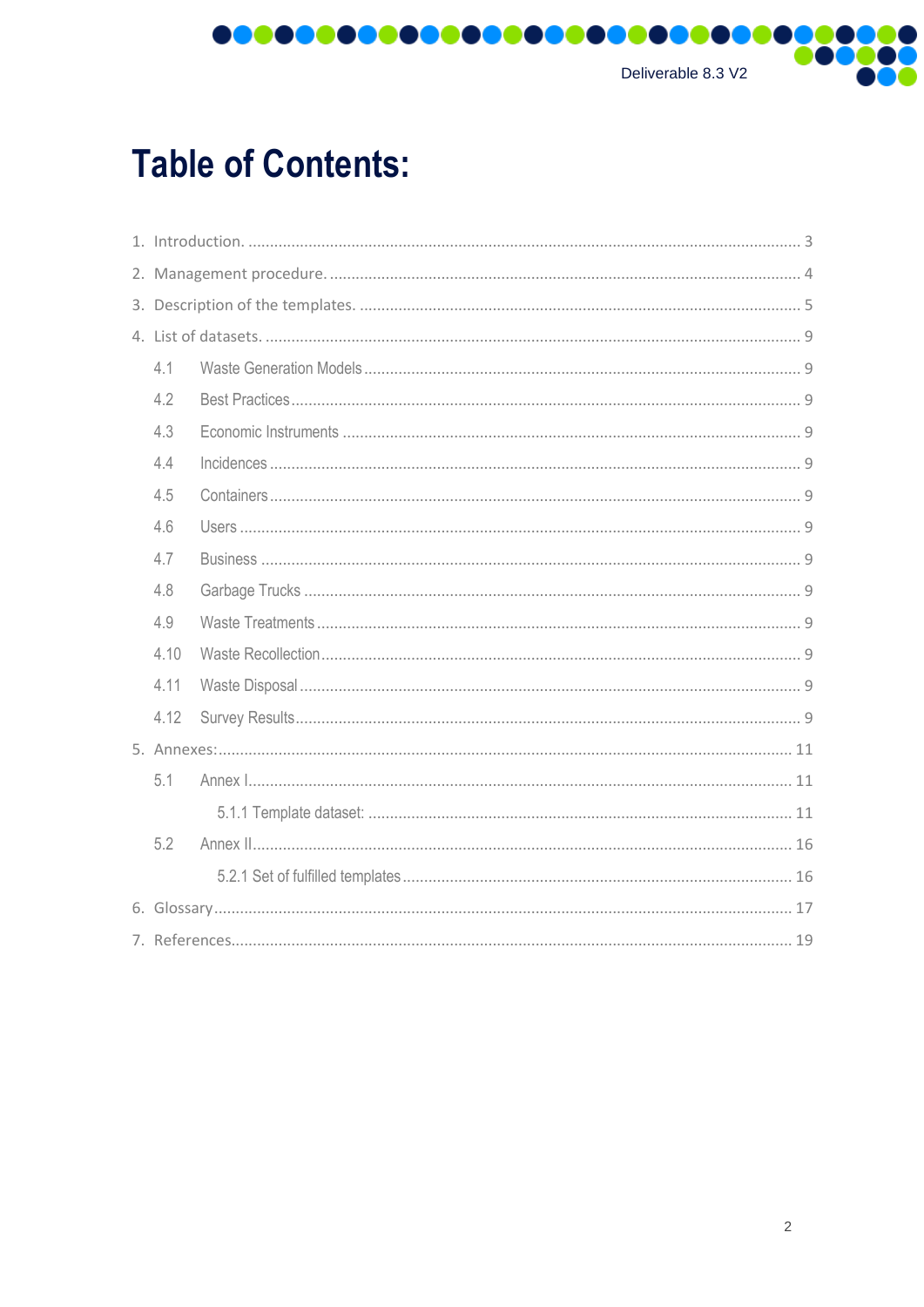

# **Table of Contents:**

| 4.1  |  |  |  |
|------|--|--|--|
| 4.2  |  |  |  |
| 4.3  |  |  |  |
| 4.4  |  |  |  |
| 4.5  |  |  |  |
| 4.6  |  |  |  |
| 4.7  |  |  |  |
| 4.8  |  |  |  |
| 4.9  |  |  |  |
| 4.10 |  |  |  |
| 4.11 |  |  |  |
| 4.12 |  |  |  |
|      |  |  |  |
| 5.1  |  |  |  |
|      |  |  |  |
| 5.2  |  |  |  |
|      |  |  |  |
|      |  |  |  |
|      |  |  |  |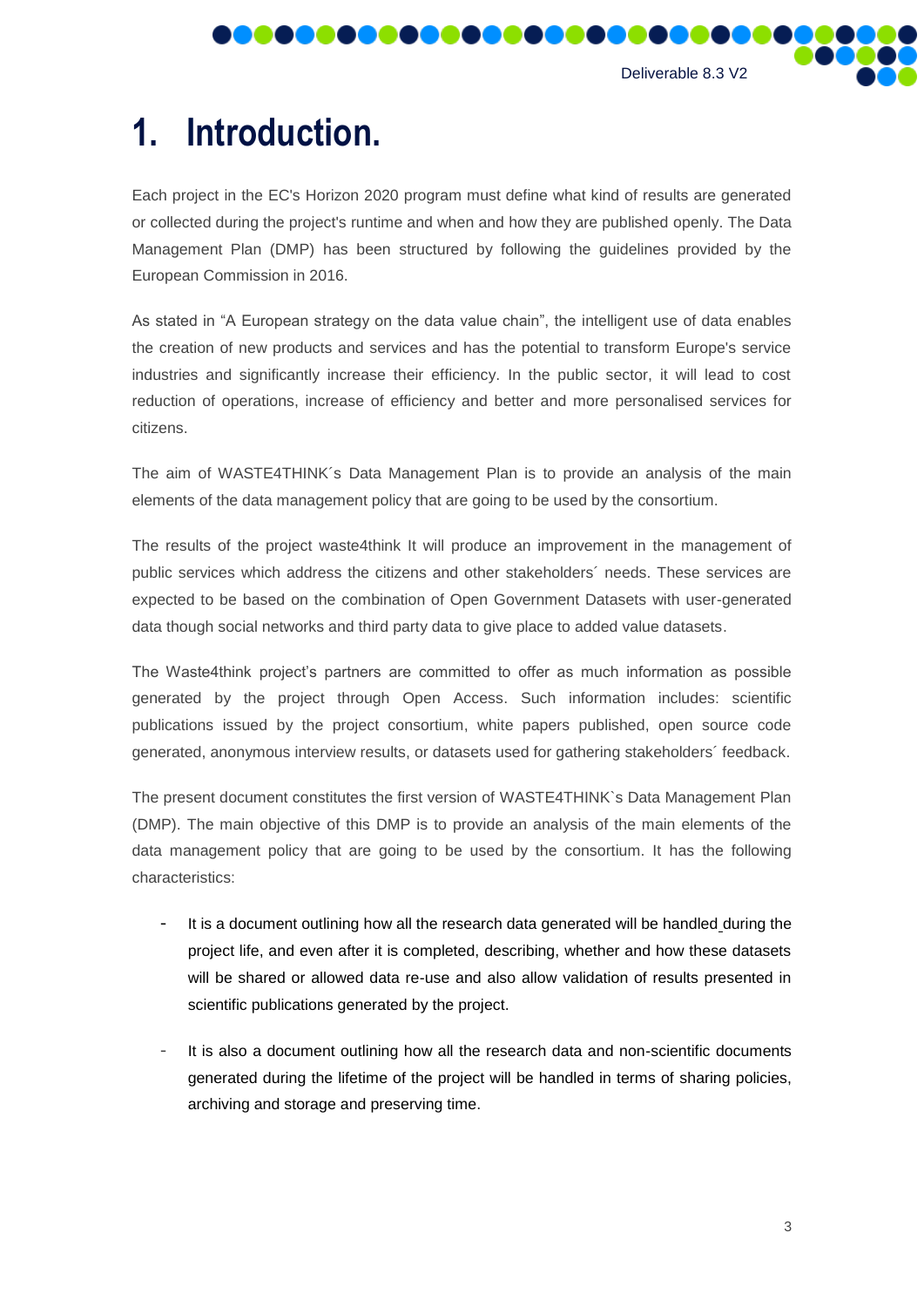

# <span id="page-2-0"></span>**1. Introduction.**

**POOOO** 

Each project in the EC's Horizon 2020 program must define what kind of results are generated or collected during the project's runtime and when and how they are published openly. The Data Management Plan (DMP) has been structured by following the guidelines provided by the European Commission in 2016.

**DOO** 

DOO

As stated in "A European strategy on the data value chain", the intelligent use of data enables the creation of new products and services and has the potential to transform Europe's service industries and significantly increase their efficiency. In the public sector, it will lead to cost reduction of operations, increase of efficiency and better and more personalised services for citizens.

The aim of WASTE4THINK´s Data Management Plan is to provide an analysis of the main elements of the data management policy that are going to be used by the consortium.

The results of the project waste4think It will produce an improvement in the management of public services which address the citizens and other stakeholders´ needs. These services are expected to be based on the combination of Open Government Datasets with user-generated data though social networks and third party data to give place to added value datasets.

The Waste4think project's partners are committed to offer as much information as possible generated by the project through Open Access. Such information includes: scientific publications issued by the project consortium, white papers published, open source code generated, anonymous interview results, or datasets used for gathering stakeholders´ feedback.

The present document constitutes the first version of WASTE4THINK`s Data Management Plan (DMP). The main objective of this DMP is to provide an analysis of the main elements of the data management policy that are going to be used by the consortium. It has the following characteristics:

- It is a document outlining how all the research data generated will be handled during the project life, and even after it is completed, describing, whether and how these datasets will be shared or allowed data re-use and also allow validation of results presented in scientific publications generated by the project.
- It is also a document outlining how all the research data and non-scientific documents generated during the lifetime of the project will be handled in terms of sharing policies, archiving and storage and preserving time.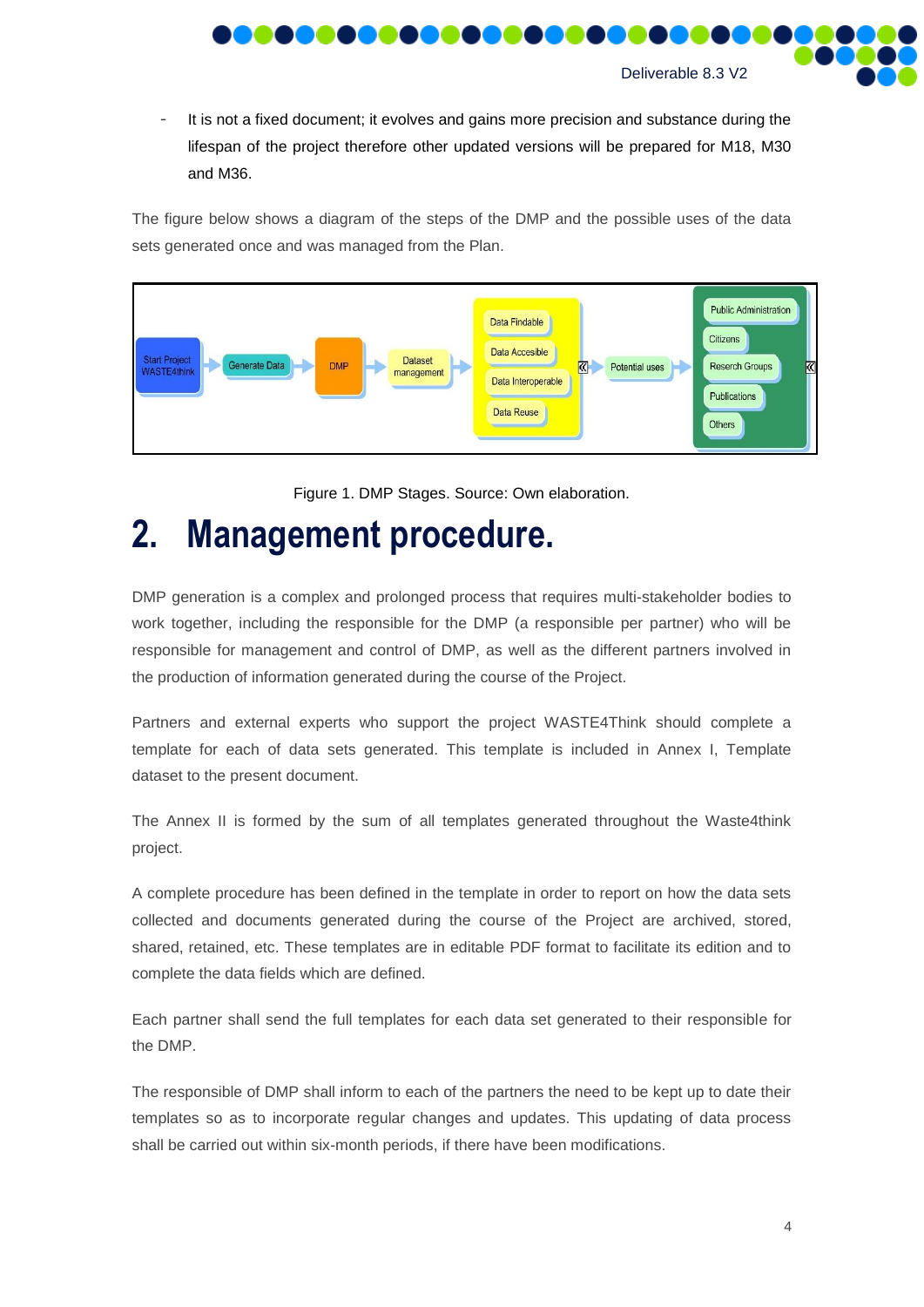

It is not a fixed document; it evolves and gains more precision and substance during the lifespan of the project therefore other updated versions will be prepared for M18, M30 and M36.

The figure below shows a diagram of the steps of the DMP and the possible uses of the data sets generated once and was managed from the Plan.



Figure 1. DMP Stages. Source: Own elaboration.

# <span id="page-3-0"></span>**2. Management procedure.**

DMP generation is a complex and prolonged process that requires multi-stakeholder bodies to work together, including the responsible for the DMP (a responsible per partner) who will be responsible for management and control of DMP, as well as the different partners involved in the production of information generated during the course of the Project.

Partners and external experts who support the project WASTE4Think should complete a template for each of data sets generated. This template is included in Annex I, Template dataset to the present document.

The Annex II is formed by the sum of all templates generated throughout the Waste4think project.

A complete procedure has been defined in the template in order to report on how the data sets collected and documents generated during the course of the Project are archived, stored, shared, retained, etc. These templates are in editable PDF format to facilitate its edition and to complete the data fields which are defined.

Each partner shall send the full templates for each data set generated to their responsible for the DMP.

The responsible of DMP shall inform to each of the partners the need to be kept up to date their templates so as to incorporate regular changes and updates. This updating of data process shall be carried out within six-month periods, if there have been modifications.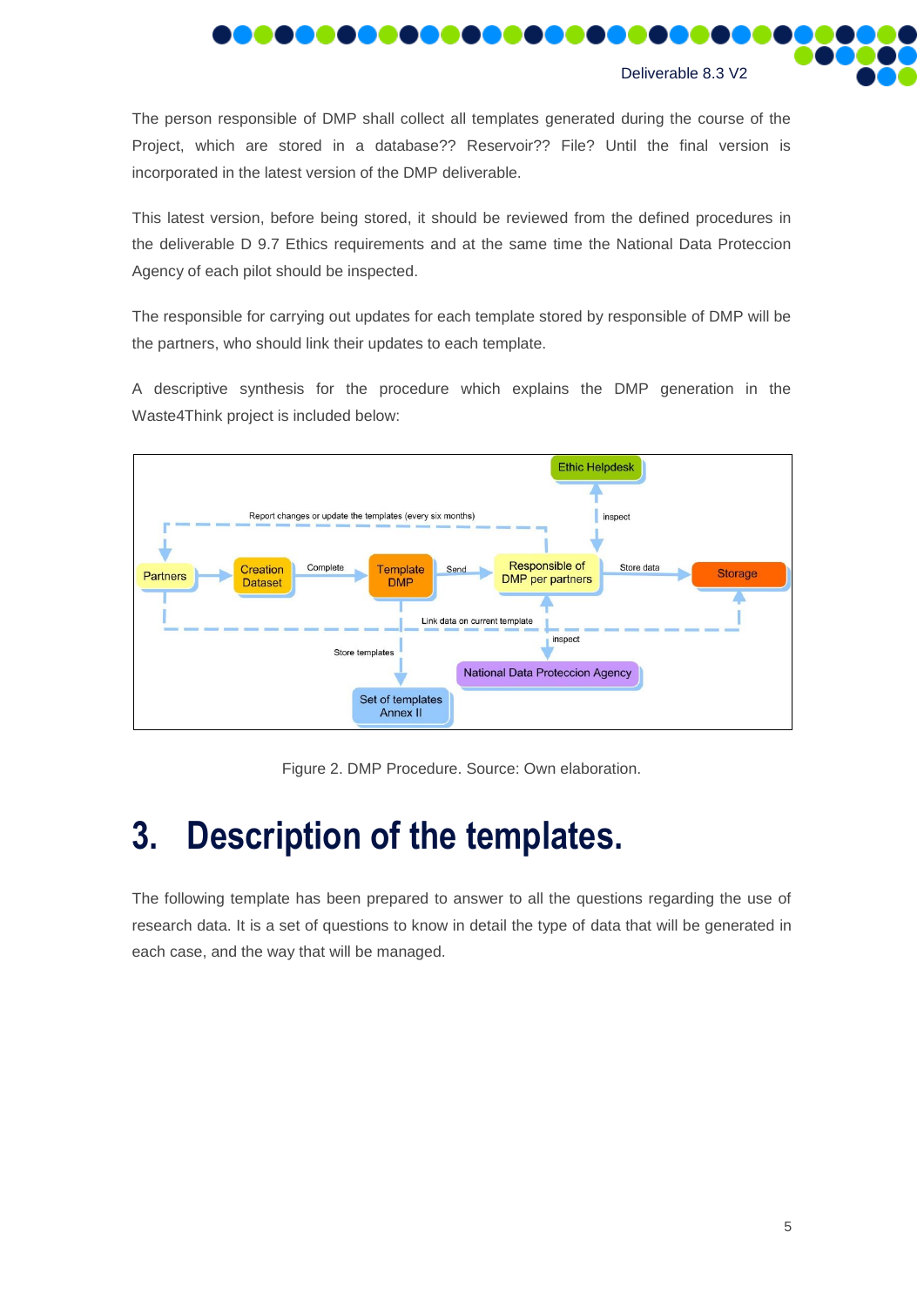

The person responsible of DMP shall collect all templates generated during the course of the Project, which are stored in a database?? Reservoir?? File? Until the final version is incorporated in the latest version of the DMP deliverable.

This latest version, before being stored, it should be reviewed from the defined procedures in the deliverable D 9.7 Ethics requirements and at the same time the National Data Proteccion Agency of each pilot should be inspected.

The responsible for carrying out updates for each template stored by responsible of DMP will be the partners, who should link their updates to each template.

A descriptive synthesis for the procedure which explains the DMP generation in the Waste4Think project is included below:



Figure 2. DMP Procedure. Source: Own elaboration.

# <span id="page-4-0"></span>**3. Description of the templates.**

The following template has been prepared to answer to all the questions regarding the use of research data. It is a set of questions to know in detail the type of data that will be generated in each case, and the way that will be managed.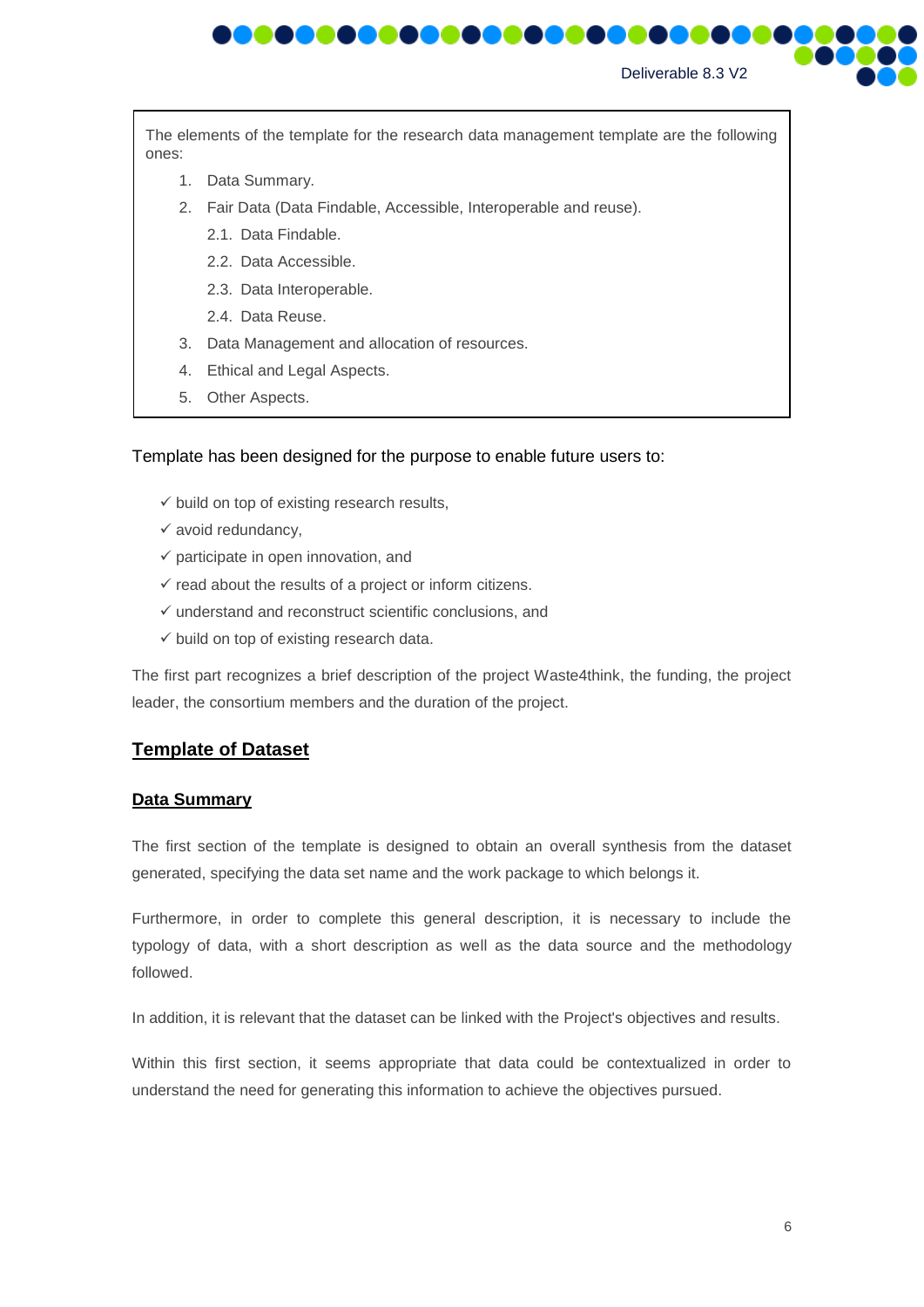

The elements of the template for the research data management template are the following ones:

- 1. Data Summary.
- 2. Fair Data (Data Findable, Accessible, Interoperable and reuse).
	- 2.1. Data Findable.
	- 2.2. Data Accessible.
	- 2.3. Data Interoperable.
	- 2.4. Data Reuse.
- 3. Data Management and allocation of resources.
- 4. Ethical and Legal Aspects.
- 5. Other Aspects.

#### Template has been designed for the purpose to enable future users to:

- $\checkmark$  build on top of existing research results,
- $\checkmark$  avoid redundancy,
- $\checkmark$  participate in open innovation, and
- $\checkmark$  read about the results of a project or inform citizens.
- $\checkmark$  understand and reconstruct scientific conclusions, and
- $\checkmark$  build on top of existing research data.

The first part recognizes a brief description of the project Waste4think, the funding, the project leader, the consortium members and the duration of the project.

#### **Template of Dataset**

#### **Data Summary**

The first section of the template is designed to obtain an overall synthesis from the dataset generated, specifying the data set name and the work package to which belongs it.

Furthermore, in order to complete this general description, it is necessary to include the typology of data, with a short description as well as the data source and the methodology followed.

In addition, it is relevant that the dataset can be linked with the Project's objectives and results.

Within this first section, it seems appropriate that data could be contextualized in order to understand the need for generating this information to achieve the objectives pursued.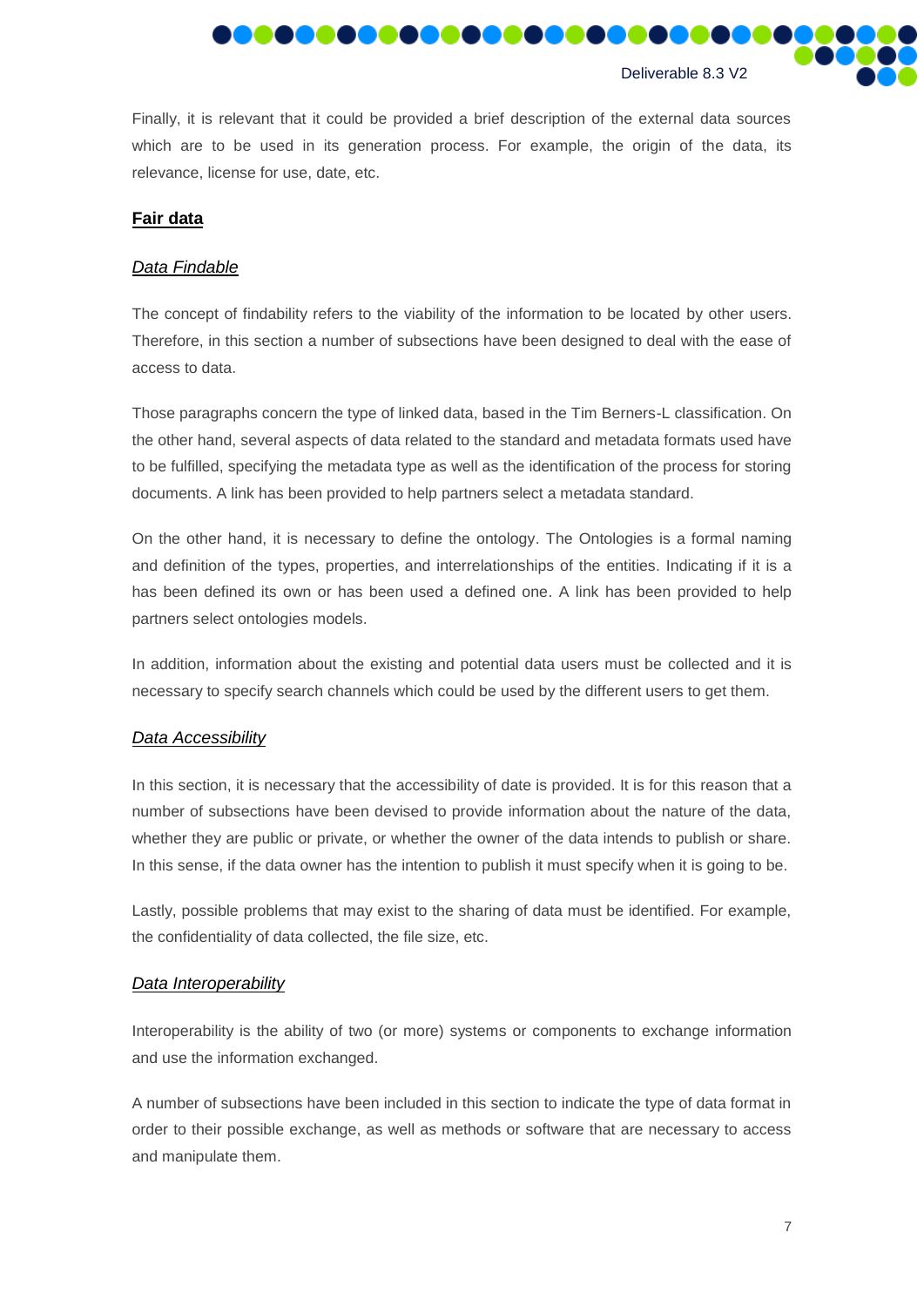

Finally, it is relevant that it could be provided a brief description of the external data sources which are to be used in its generation process. For example, the origin of the data, its relevance, license for use, date, etc.

#### **Fair data**

#### *Data Findable*

The concept of findability refers to the viability of the information to be located by other users. Therefore, in this section a number of subsections have been designed to deal with the ease of access to data.

Those paragraphs concern the type of linked data, based in the Tim Berners-L classification. On the other hand, several aspects of data related to the standard and metadata formats used have to be fulfilled, specifying the metadata type as well as the identification of the process for storing documents. A link has been provided to help partners select a metadata standard.

On the other hand, it is necessary to define the ontology. The Ontologies is a formal naming and definition of the types, properties, and interrelationships of the entities. Indicating if it is a has been defined its own or has been used a defined one. A link has been provided to help partners select ontologies models.

In addition, information about the existing and potential data users must be collected and it is necessary to specify search channels which could be used by the different users to get them.

#### *Data Accessibility*

In this section, it is necessary that the accessibility of date is provided. It is for this reason that a number of subsections have been devised to provide information about the nature of the data, whether they are public or private, or whether the owner of the data intends to publish or share. In this sense, if the data owner has the intention to publish it must specify when it is going to be.

Lastly, possible problems that may exist to the sharing of data must be identified. For example, the confidentiality of data collected, the file size, etc.

#### *Data Interoperability*

Interoperability is the ability of two (or more) systems or components to exchange information and use the information exchanged.

A number of subsections have been included in this section to indicate the type of data format in order to their possible exchange, as well as methods or software that are necessary to access and manipulate them.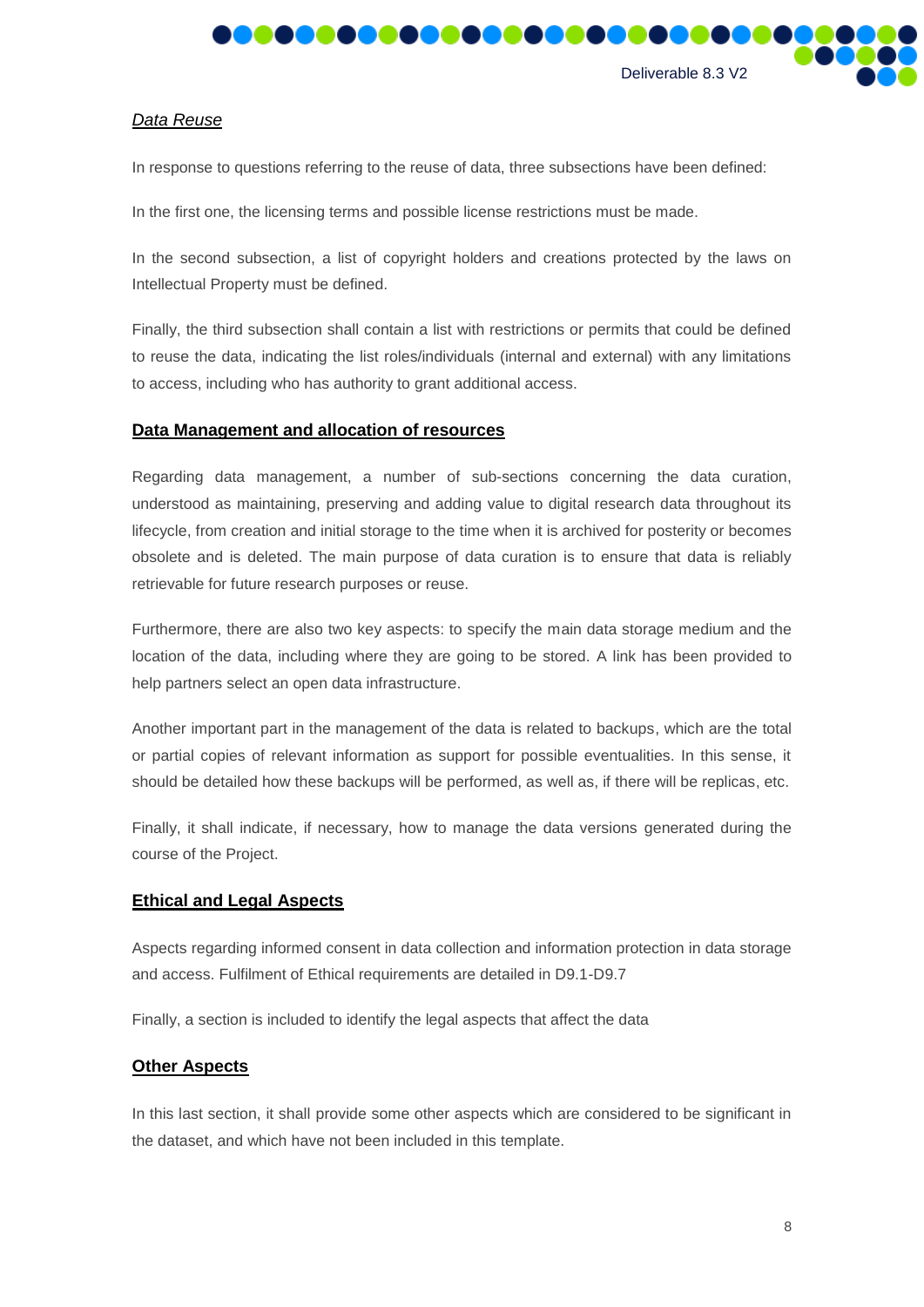

#### *Data Reuse*

In response to questions referring to the reuse of data, three subsections have been defined:

In the first one, the licensing terms and possible license restrictions must be made.

In the second subsection, a list of copyright holders and creations protected by the laws on Intellectual Property must be defined.

Finally, the third subsection shall contain a list with restrictions or permits that could be defined to reuse the data, indicating the list roles/individuals (internal and external) with any limitations to access, including who has authority to grant additional access.

#### **Data Management and allocation of resources**

Regarding data management, a number of sub-sections concerning the data curation, understood as maintaining, preserving and adding value to digital research data throughout its lifecycle, from creation and initial storage to the time when it is archived for posterity or becomes obsolete and is deleted. The main purpose of data curation is to ensure that data is reliably retrievable for future research purposes or reuse.

Furthermore, there are also two key aspects: to specify the main data storage medium and the location of the data, including where they are going to be stored. A link has been provided to help partners select an open data infrastructure.

Another important part in the management of the data is related to backups, which are the total or partial copies of relevant information as support for possible eventualities. In this sense, it should be detailed how these backups will be performed, as well as, if there will be replicas, etc.

Finally, it shall indicate, if necessary, how to manage the data versions generated during the course of the Project.

#### **Ethical and Legal Aspects**

Aspects regarding informed consent in data collection and information protection in data storage and access. Fulfilment of Ethical requirements are detailed in D9.1-D9.7

Finally, a section is included to identify the legal aspects that affect the data

#### **Other Aspects**

In this last section, it shall provide some other aspects which are considered to be significant in the dataset, and which have not been included in this template.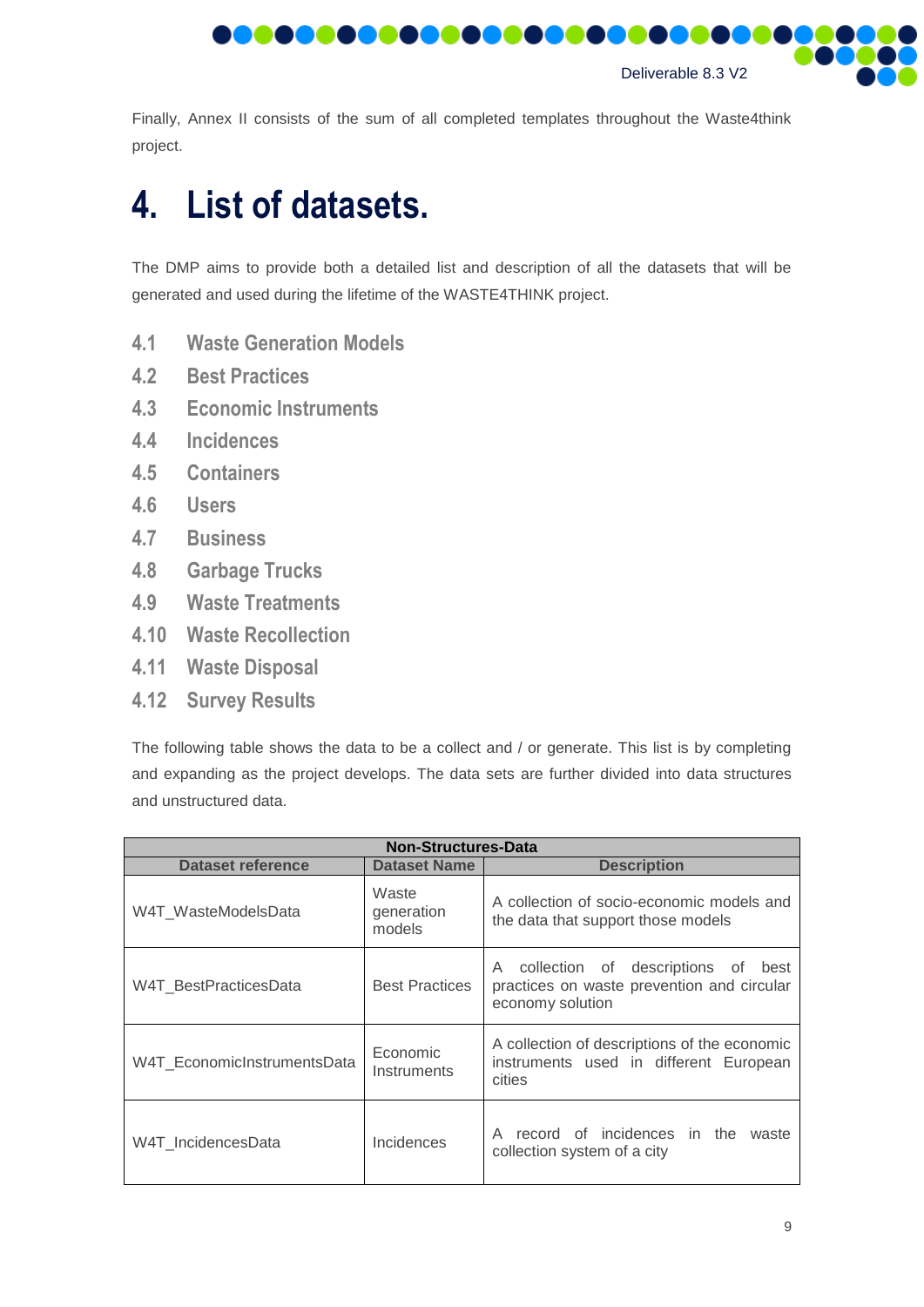

Finally, Annex II consists of the sum of all completed templates throughout the Waste4think project.

# <span id="page-8-0"></span>**4. List of datasets.**

The DMP aims to provide both a detailed list and description of all the datasets that will be generated and used during the lifetime of the WASTE4THINK project.

- <span id="page-8-1"></span>**4.1 Waste Generation Models**
- <span id="page-8-2"></span>**4.2 Best Practices**
- <span id="page-8-3"></span>**4.3 Economic Instruments**
- <span id="page-8-4"></span>**4.4 Incidences**
- <span id="page-8-5"></span>**4.5 Containers**
- <span id="page-8-6"></span>**4.6 Users**
- <span id="page-8-7"></span>**4.7 Business**
- <span id="page-8-8"></span>**4.8 Garbage Trucks**
- <span id="page-8-9"></span>**4.9 Waste Treatments**
- <span id="page-8-10"></span>**4.10 Waste Recollection**
- <span id="page-8-11"></span>**4.11 Waste Disposal**
- <span id="page-8-12"></span>**4.12 Survey Results**

The following table shows the data to be a collect and / or generate. This list is by completing and expanding as the project develops. The data sets are further divided into data structures and unstructured data.

| <b>Non-Structures-Data</b>                     |                               |                                                                                                        |  |  |
|------------------------------------------------|-------------------------------|--------------------------------------------------------------------------------------------------------|--|--|
| Dataset reference                              | <b>Dataset Name</b>           | <b>Description</b>                                                                                     |  |  |
| W4T WasteModelsData                            | Waste<br>generation<br>models | A collection of socio-economic models and<br>the data that support those models                        |  |  |
| <b>Best Practices</b><br>W4T BestPracticesData |                               | A collection of descriptions of best<br>practices on waste prevention and circular<br>economy solution |  |  |
| W4T EconomicInstrumentsData                    | Economic<br>Instruments       | A collection of descriptions of the economic<br>instruments used in different European<br>cities       |  |  |
| W4T IncidencesData                             | Incidences                    | record of incidences in the<br>A<br>waste<br>collection system of a city                               |  |  |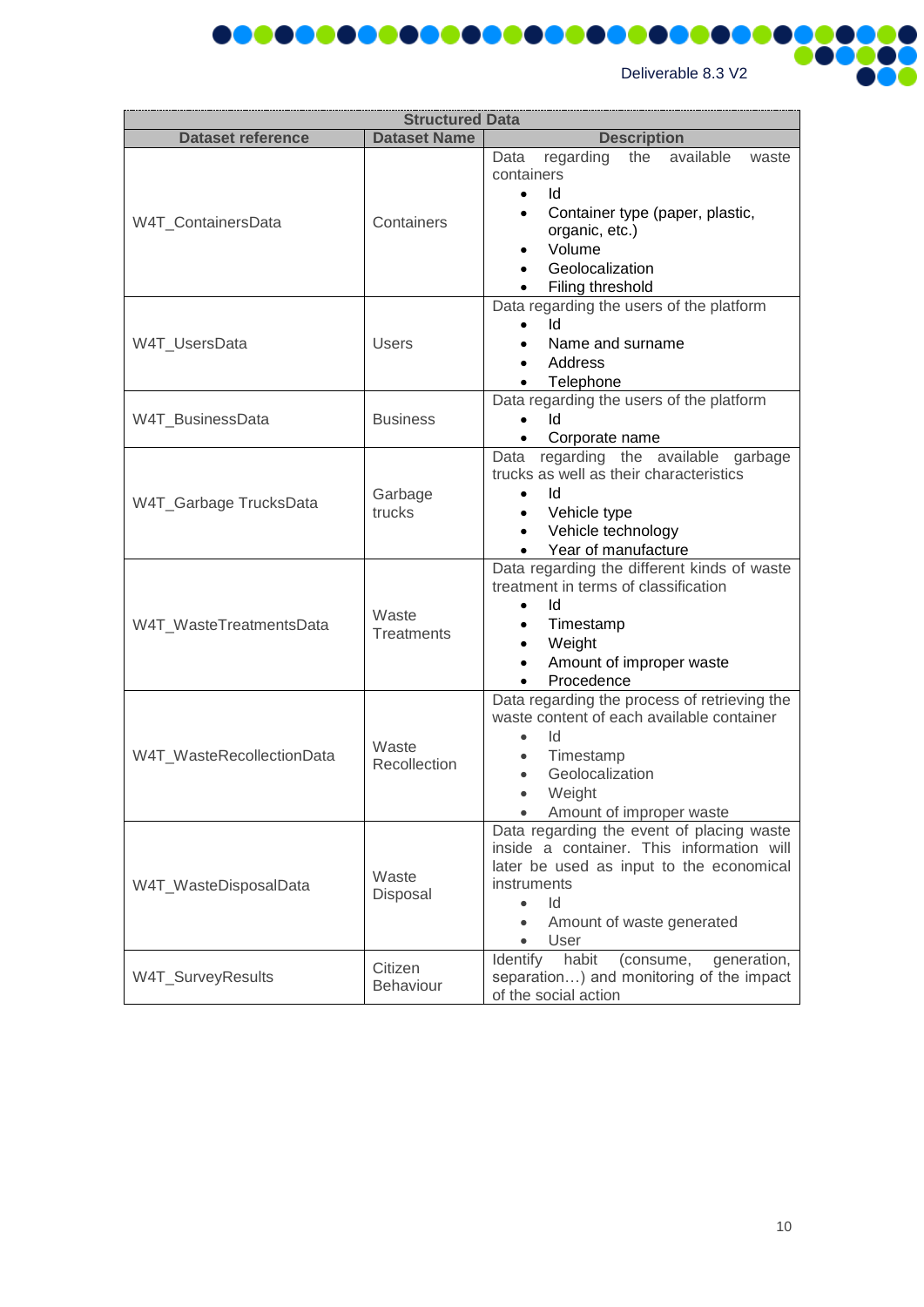

Ω

| <b>Structured Data</b>                      |                                                                                                                                                                                                                                             |                                                                                                                                                                                                                |  |  |
|---------------------------------------------|---------------------------------------------------------------------------------------------------------------------------------------------------------------------------------------------------------------------------------------------|----------------------------------------------------------------------------------------------------------------------------------------------------------------------------------------------------------------|--|--|
| <b>Dataset reference</b>                    | <b>Dataset Name</b>                                                                                                                                                                                                                         | <b>Description</b>                                                                                                                                                                                             |  |  |
| W4T_ContainersData                          | Containers                                                                                                                                                                                                                                  | regarding<br>available<br>the<br>Data<br>waste<br>containers<br>1d<br>$\bullet$<br>Container type (paper, plastic,<br>organic, etc.)<br>Volume<br>Geolocalization<br>Filing threshold                          |  |  |
| W4T_UsersData                               | <b>Users</b>                                                                                                                                                                                                                                | Data regarding the users of the platform<br>Ιd<br>Name and surname<br>Address<br>Telephone                                                                                                                     |  |  |
| W4T_BusinessData                            | <b>Business</b>                                                                                                                                                                                                                             | Data regarding the users of the platform<br>ld<br>Corporate name<br>$\bullet$                                                                                                                                  |  |  |
| Garbage<br>W4T_Garbage TrucksData<br>trucks |                                                                                                                                                                                                                                             | Data regarding the available garbage<br>trucks as well as their characteristics<br>Id<br>$\bullet$<br>Vehicle type<br>$\bullet$<br>Vehicle technology<br>$\bullet$<br>Year of manufacture<br>$\bullet$         |  |  |
| W4T_WasteTreatmentsData                     | Waste<br><b>Treatments</b>                                                                                                                                                                                                                  | Data regarding the different kinds of waste<br>treatment in terms of classification<br>ld<br>Timestamp<br>$\bullet$<br>Weight<br>$\bullet$<br>Amount of improper waste<br>$\bullet$<br>Procedence<br>$\bullet$ |  |  |
| W4T_WasteRecollectionData                   | Waste<br>Recollection                                                                                                                                                                                                                       | Data regarding the process of retrieving the<br>waste content of each available container<br>Id<br>$\bullet$<br>Timestamp<br>$\bullet$<br>Geolocalization<br>Weight<br>Amount of improper waste                |  |  |
| W4T_WasteDisposalData                       | Data regarding the event of placing waste<br>inside a container. This information will<br>later be used as input to the economical<br>Waste<br>instruments<br>Disposal<br>Id<br>$\bullet$<br>Amount of waste generated<br>$\bullet$<br>User |                                                                                                                                                                                                                |  |  |
| Citizen<br>W4T_SurveyResults<br>Behaviour   |                                                                                                                                                                                                                                             | Identify<br>habit<br>(consume,<br>generation,<br>separation) and monitoring of the impact<br>of the social action                                                                                              |  |  |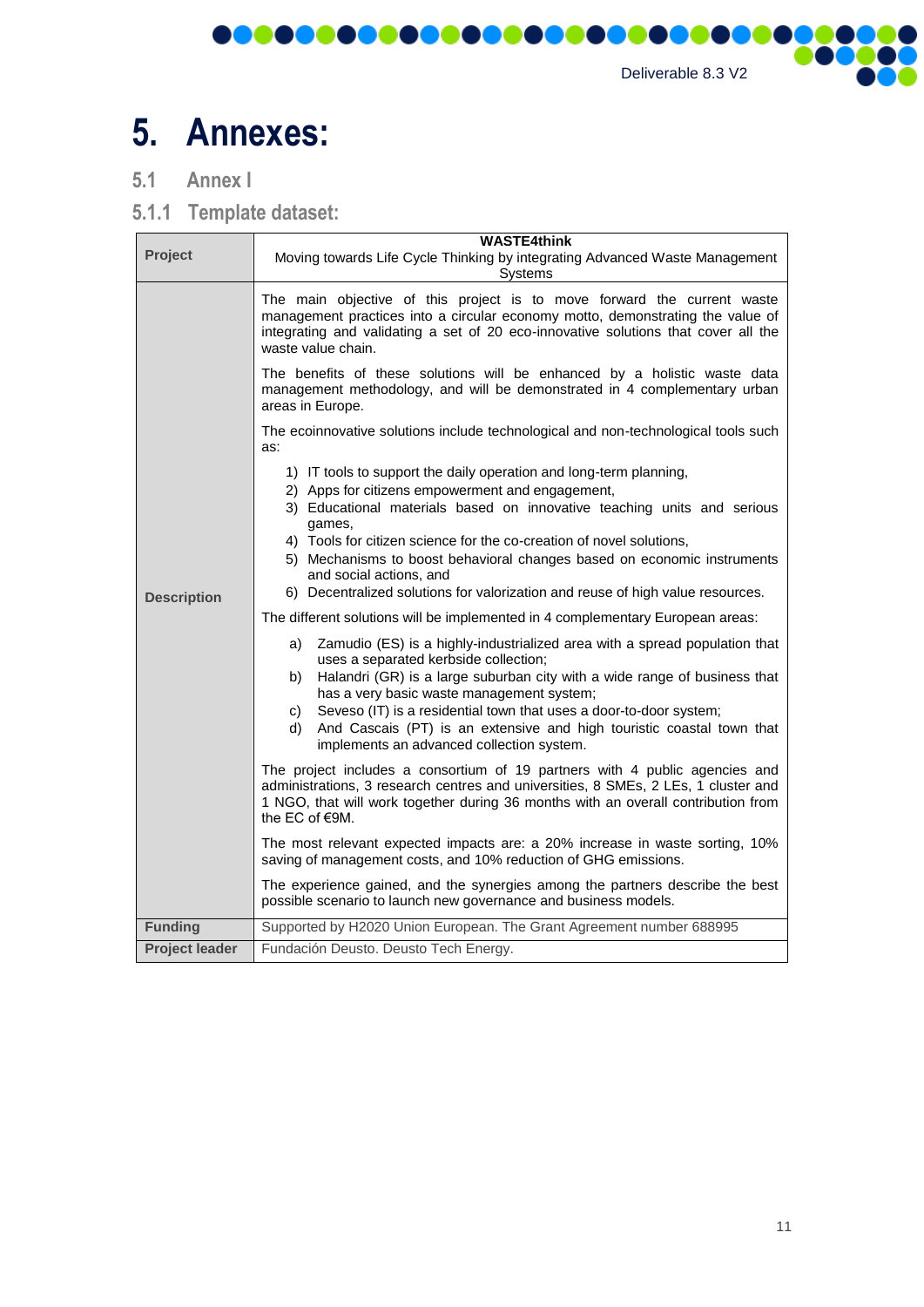

# <span id="page-10-0"></span>**5. Annexes:**

<span id="page-10-1"></span>**5.1 Annex I**

<span id="page-10-2"></span>**5.1.1 Template dataset:**

| Project               | <b>WASTE4think</b><br>Moving towards Life Cycle Thinking by integrating Advanced Waste Management<br>Systems                                                                                                                                                                                                                                                                                                                                                                                                                                                                                                                                                                                                                                                                                                                                                                                                                                                                                                                       |  |  |
|-----------------------|------------------------------------------------------------------------------------------------------------------------------------------------------------------------------------------------------------------------------------------------------------------------------------------------------------------------------------------------------------------------------------------------------------------------------------------------------------------------------------------------------------------------------------------------------------------------------------------------------------------------------------------------------------------------------------------------------------------------------------------------------------------------------------------------------------------------------------------------------------------------------------------------------------------------------------------------------------------------------------------------------------------------------------|--|--|
|                       | The main objective of this project is to move forward the current waste<br>management practices into a circular economy motto, demonstrating the value of<br>integrating and validating a set of 20 eco-innovative solutions that cover all the<br>waste value chain.                                                                                                                                                                                                                                                                                                                                                                                                                                                                                                                                                                                                                                                                                                                                                              |  |  |
|                       | The benefits of these solutions will be enhanced by a holistic waste data<br>management methodology, and will be demonstrated in 4 complementary urban<br>areas in Europe.                                                                                                                                                                                                                                                                                                                                                                                                                                                                                                                                                                                                                                                                                                                                                                                                                                                         |  |  |
|                       | The ecoinnovative solutions include technological and non-technological tools such<br>as:                                                                                                                                                                                                                                                                                                                                                                                                                                                                                                                                                                                                                                                                                                                                                                                                                                                                                                                                          |  |  |
| <b>Description</b>    | 1) IT tools to support the daily operation and long-term planning,<br>2) Apps for citizens empowerment and engagement,<br>3) Educational materials based on innovative teaching units and serious<br>games,<br>4) Tools for citizen science for the co-creation of novel solutions,<br>5) Mechanisms to boost behavioral changes based on economic instruments<br>and social actions, and<br>6) Decentralized solutions for valorization and reuse of high value resources.<br>The different solutions will be implemented in 4 complementary European areas:<br>Zamudio (ES) is a highly-industrialized area with a spread population that<br>a)<br>uses a separated kerbside collection;<br>Halandri (GR) is a large suburban city with a wide range of business that<br>b)<br>has a very basic waste management system;<br>Seveso (IT) is a residential town that uses a door-to-door system;<br>C)<br>And Cascais (PT) is an extensive and high touristic coastal town that<br>d)<br>implements an advanced collection system. |  |  |
|                       | The project includes a consortium of 19 partners with 4 public agencies and<br>administrations, 3 research centres and universities, 8 SMEs, 2 LEs, 1 cluster and<br>1 NGO, that will work together during 36 months with an overall contribution from<br>the EC of €9M.                                                                                                                                                                                                                                                                                                                                                                                                                                                                                                                                                                                                                                                                                                                                                           |  |  |
|                       | The most relevant expected impacts are: a 20% increase in waste sorting, 10%<br>saving of management costs, and 10% reduction of GHG emissions.                                                                                                                                                                                                                                                                                                                                                                                                                                                                                                                                                                                                                                                                                                                                                                                                                                                                                    |  |  |
|                       | The experience gained, and the synergies among the partners describe the best<br>possible scenario to launch new governance and business models.                                                                                                                                                                                                                                                                                                                                                                                                                                                                                                                                                                                                                                                                                                                                                                                                                                                                                   |  |  |
| <b>Funding</b>        | Supported by H2020 Union European. The Grant Agreement number 688995                                                                                                                                                                                                                                                                                                                                                                                                                                                                                                                                                                                                                                                                                                                                                                                                                                                                                                                                                               |  |  |
| <b>Project leader</b> | Fundación Deusto. Deusto Tech Energy.                                                                                                                                                                                                                                                                                                                                                                                                                                                                                                                                                                                                                                                                                                                                                                                                                                                                                                                                                                                              |  |  |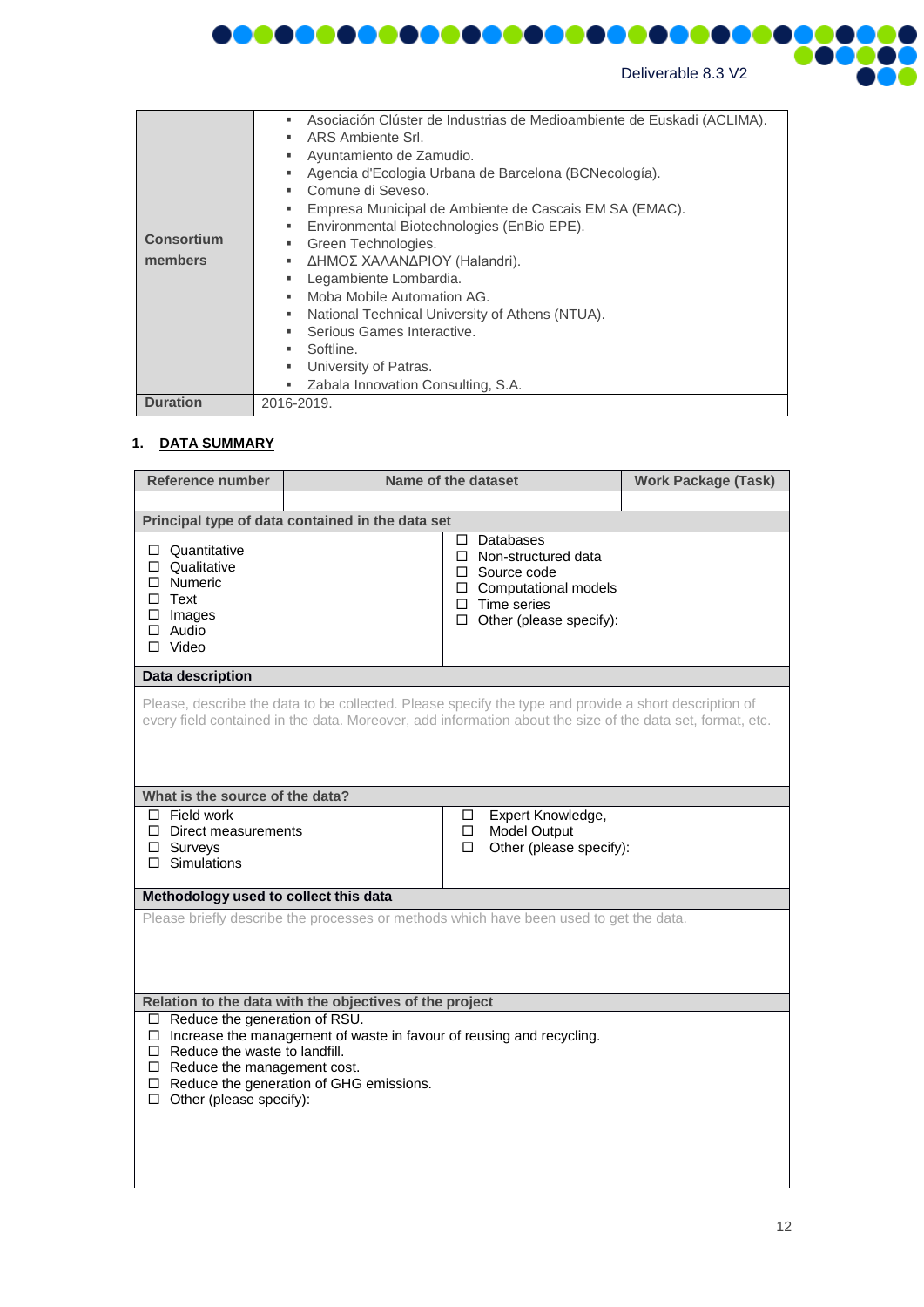

**DOO** 

**TIME** 

ne

 $\bullet$ 

|                   | Asociación Clúster de Industrias de Medioambiente de Euskadi (ACLIMA).<br>٠ |
|-------------------|-----------------------------------------------------------------------------|
|                   | ARS Ambiente Srl.                                                           |
|                   | Ayuntamiento de Zamudio.                                                    |
|                   | Agencia d'Ecologia Urbana de Barcelona (BCNecología).                       |
|                   | Comune di Seveso.                                                           |
|                   | Empresa Municipal de Ambiente de Cascais EM SA (EMAC).<br>٠.                |
|                   | Environmental Biotechnologies (EnBio EPE).<br>٠                             |
| <b>Consortium</b> | Green Technologies.<br>٠                                                    |
| members           | ΔΗΜΟΣ ΧΑΛΑΝΔΡΙΟΥ (Halandri).<br>٠                                           |
|                   | Legambiente Lombardia.                                                      |
|                   | Moba Mobile Automation AG.<br>ж.                                            |
|                   | National Technical University of Athens (NTUA).<br>٠.                       |
|                   | Serious Games Interactive.                                                  |
|                   | Softline.                                                                   |
|                   | University of Patras.<br>٠                                                  |
|                   | Zabala Innovation Consulting, S.A.<br>п.                                    |
| <b>Duration</b>   | 2016-2019.                                                                  |

1000000000000000000000000

#### **1. DATA SUMMARY**

ľ

| Reference number                                                                                                                                                                                                                                                                                                                                 | Name of the dataset                                                                                                                                                                                                |             | <b>Work Package (Task)</b>                                                                                                                             |  |
|--------------------------------------------------------------------------------------------------------------------------------------------------------------------------------------------------------------------------------------------------------------------------------------------------------------------------------------------------|--------------------------------------------------------------------------------------------------------------------------------------------------------------------------------------------------------------------|-------------|--------------------------------------------------------------------------------------------------------------------------------------------------------|--|
|                                                                                                                                                                                                                                                                                                                                                  |                                                                                                                                                                                                                    |             |                                                                                                                                                        |  |
|                                                                                                                                                                                                                                                                                                                                                  | Principal type of data contained in the data set                                                                                                                                                                   |             |                                                                                                                                                        |  |
| $\Box$ Quantitative<br>$\Box$ Qualitative<br>$\Box$ Numeric<br>$\Box$ Text<br>$\Box$ Images<br>$\Box$ Audio<br>$\Box$ Video                                                                                                                                                                                                                      |                                                                                                                                                                                                                    |             | $\Box$ Databases<br>$\Box$ Non-structured data<br>$\Box$ Source code<br>□ Computational models<br>$\Box$ Time series<br>$\Box$ Other (please specify): |  |
| Data description                                                                                                                                                                                                                                                                                                                                 |                                                                                                                                                                                                                    |             |                                                                                                                                                        |  |
|                                                                                                                                                                                                                                                                                                                                                  | Please, describe the data to be collected. Please specify the type and provide a short description of<br>every field contained in the data. Moreover, add information about the size of the data set, format, etc. |             |                                                                                                                                                        |  |
| What is the source of the data?                                                                                                                                                                                                                                                                                                                  |                                                                                                                                                                                                                    |             |                                                                                                                                                        |  |
| $\Box$ Field work<br>$\Box$ Direct measurements<br>$\Box$ Surveys<br>$\Box$ Simulations                                                                                                                                                                                                                                                          |                                                                                                                                                                                                                    | □<br>□<br>□ | Expert Knowledge,<br><b>Model Output</b><br>Other (please specify):                                                                                    |  |
| Methodology used to collect this data                                                                                                                                                                                                                                                                                                            |                                                                                                                                                                                                                    |             |                                                                                                                                                        |  |
| Please briefly describe the processes or methods which have been used to get the data.                                                                                                                                                                                                                                                           |                                                                                                                                                                                                                    |             |                                                                                                                                                        |  |
| Relation to the data with the objectives of the project<br>$\Box$ Reduce the generation of RSU.<br>$\Box$ Increase the management of waste in favour of reusing and recycling.<br>$\Box$ Reduce the waste to landfill.<br>$\Box$ Reduce the management cost.<br>$\Box$ Reduce the generation of GHG emissions.<br>$\Box$ Other (please specify): |                                                                                                                                                                                                                    |             |                                                                                                                                                        |  |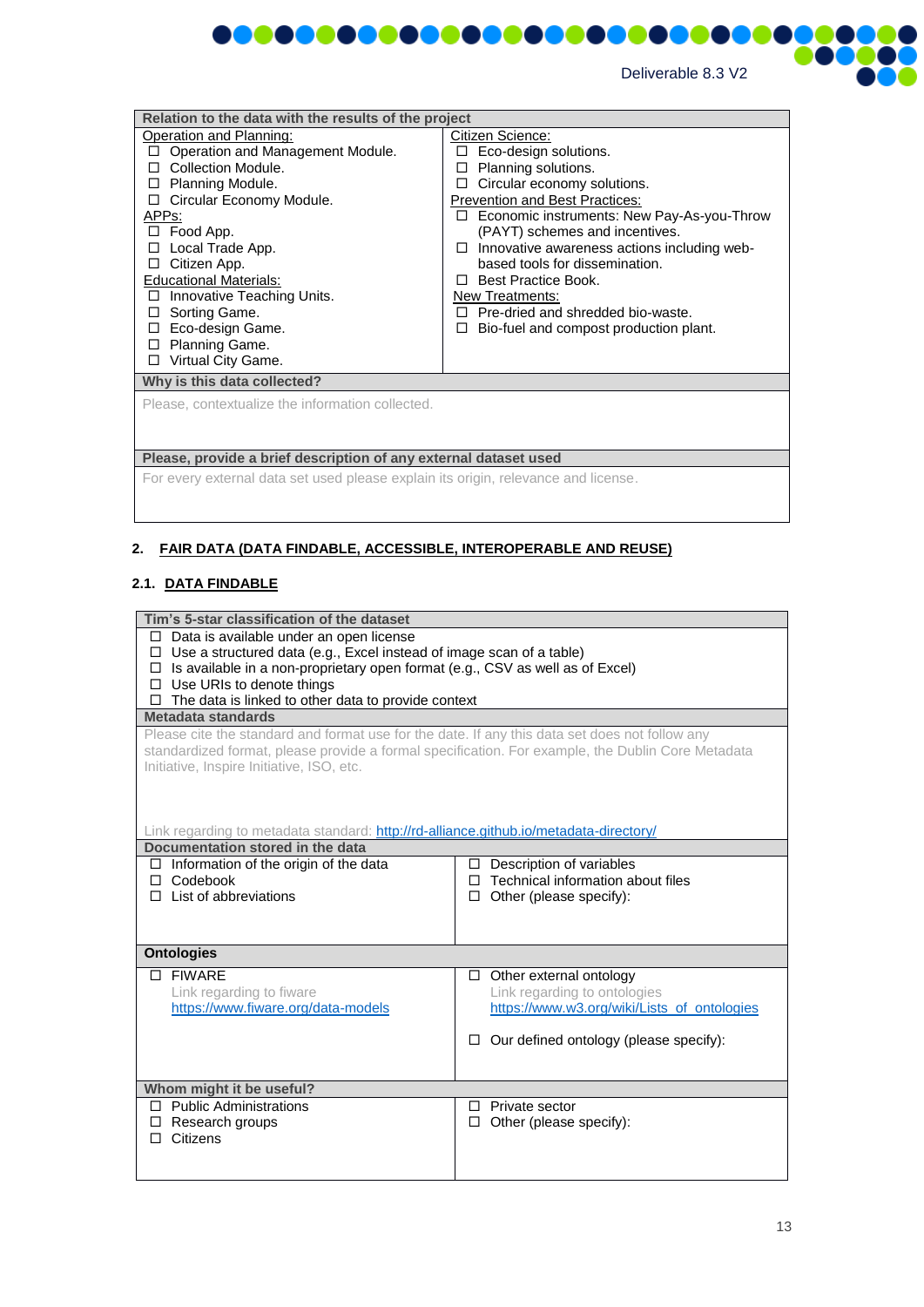

| Relation to the data with the results of the project                                                                                                                                                                                                                                                                                                                                                              |                                                                                                                                                                                                                                                                                                                                                                                                                                                                                  |  |  |
|-------------------------------------------------------------------------------------------------------------------------------------------------------------------------------------------------------------------------------------------------------------------------------------------------------------------------------------------------------------------------------------------------------------------|----------------------------------------------------------------------------------------------------------------------------------------------------------------------------------------------------------------------------------------------------------------------------------------------------------------------------------------------------------------------------------------------------------------------------------------------------------------------------------|--|--|
| Operation and Planning:<br>Operation and Management Module.<br>П<br>Collection Module.<br>П<br>Planning Module.<br>П<br>Circular Economy Module.<br>□<br>APP <sub>S</sub> :<br>Food App.<br>П.<br>Local Trade App.<br>П<br>Citizen App.<br>□<br><b>Educational Materials:</b><br>Innovative Teaching Units.<br>□<br>Sorting Game.<br>□<br>Eco-design Game.<br>□<br>Planning Game.<br>п<br>Virtual City Game.<br>□ | Citizen Science:<br>Eco-design solutions.<br>$\perp$<br>Planning solutions.<br>Circular economy solutions.<br><b>Prevention and Best Practices:</b><br>Economic instruments: New Pay-As-you-Throw<br>(PAYT) schemes and incentives.<br>Innovative awareness actions including web-<br>$\Box$<br>based tools for dissemination.<br><b>Best Practice Book.</b><br>П.<br>New Treatments:<br>$\Box$ Pre-dried and shredded bio-waste.<br>Bio-fuel and compost production plant.<br>п |  |  |
| Why is this data collected?                                                                                                                                                                                                                                                                                                                                                                                       |                                                                                                                                                                                                                                                                                                                                                                                                                                                                                  |  |  |
| Please, contextualize the information collected.                                                                                                                                                                                                                                                                                                                                                                  |                                                                                                                                                                                                                                                                                                                                                                                                                                                                                  |  |  |
| Please, provide a brief description of any external dataset used                                                                                                                                                                                                                                                                                                                                                  |                                                                                                                                                                                                                                                                                                                                                                                                                                                                                  |  |  |
| For every external data set used please explain its origin, relevance and license.                                                                                                                                                                                                                                                                                                                                |                                                                                                                                                                                                                                                                                                                                                                                                                                                                                  |  |  |
|                                                                                                                                                                                                                                                                                                                                                                                                                   |                                                                                                                                                                                                                                                                                                                                                                                                                                                                                  |  |  |
|                                                                                                                                                                                                                                                                                                                                                                                                                   |                                                                                                                                                                                                                                                                                                                                                                                                                                                                                  |  |  |

#### **2. FAIR DATA (DATA FINDABLE, ACCESSIBLE, INTEROPERABLE AND REUSE)**

#### **2.1. DATA FINDABLE**

| Tim's 5-star classification of the dataset                                                        |                                             |  |  |  |
|---------------------------------------------------------------------------------------------------|---------------------------------------------|--|--|--|
| $\Box$ Data is available under an open license                                                    |                                             |  |  |  |
| $\Box$ Use a structured data (e.g., Excel instead of image scan of a table)                       |                                             |  |  |  |
| $\Box$ Is available in a non-proprietary open format (e.g., CSV as well as of Excel)              |                                             |  |  |  |
| $\Box$ Use URIs to denote things                                                                  |                                             |  |  |  |
| The data is linked to other data to provide context<br>$\Box$                                     |                                             |  |  |  |
| Metadata standards                                                                                |                                             |  |  |  |
| Please cite the standard and format use for the date. If any this data set does not follow any    |                                             |  |  |  |
| standardized format, please provide a formal specification. For example, the Dublin Core Metadata |                                             |  |  |  |
| Initiative, Inspire Initiative, ISO, etc.                                                         |                                             |  |  |  |
|                                                                                                   |                                             |  |  |  |
|                                                                                                   |                                             |  |  |  |
| Link regarding to metadata standard: http://rd-alliance.github.io/metadata-directory/             |                                             |  |  |  |
| Documentation stored in the data                                                                  |                                             |  |  |  |
| $\Box$ Information of the origin of the data                                                      | $\Box$ Description of variables             |  |  |  |
| $\Box$ Codebook                                                                                   | Technical information about files<br>п      |  |  |  |
| $\Box$ List of abbreviations                                                                      | Other (please specify):<br>$\Box$           |  |  |  |
|                                                                                                   |                                             |  |  |  |
|                                                                                                   |                                             |  |  |  |
| <b>Ontologies</b>                                                                                 |                                             |  |  |  |
| □ FIWARE                                                                                          | $\Box$ Other external ontology              |  |  |  |
| Link regarding to fiware                                                                          | Link regarding to ontologies                |  |  |  |
| https://www.fiware.org/data-models                                                                | https://www.w3.org/wiki/Lists_of_ontologies |  |  |  |
|                                                                                                   |                                             |  |  |  |
|                                                                                                   | Our defined ontology (please specify):<br>□ |  |  |  |
|                                                                                                   |                                             |  |  |  |
| Whom might it be useful?                                                                          |                                             |  |  |  |
| $\Box$ Public Administrations<br>Private sector<br>$\perp$                                        |                                             |  |  |  |
| Research groups<br>Other (please specify):<br>□<br>□                                              |                                             |  |  |  |
| Citizens<br>п.                                                                                    |                                             |  |  |  |
|                                                                                                   |                                             |  |  |  |
|                                                                                                   |                                             |  |  |  |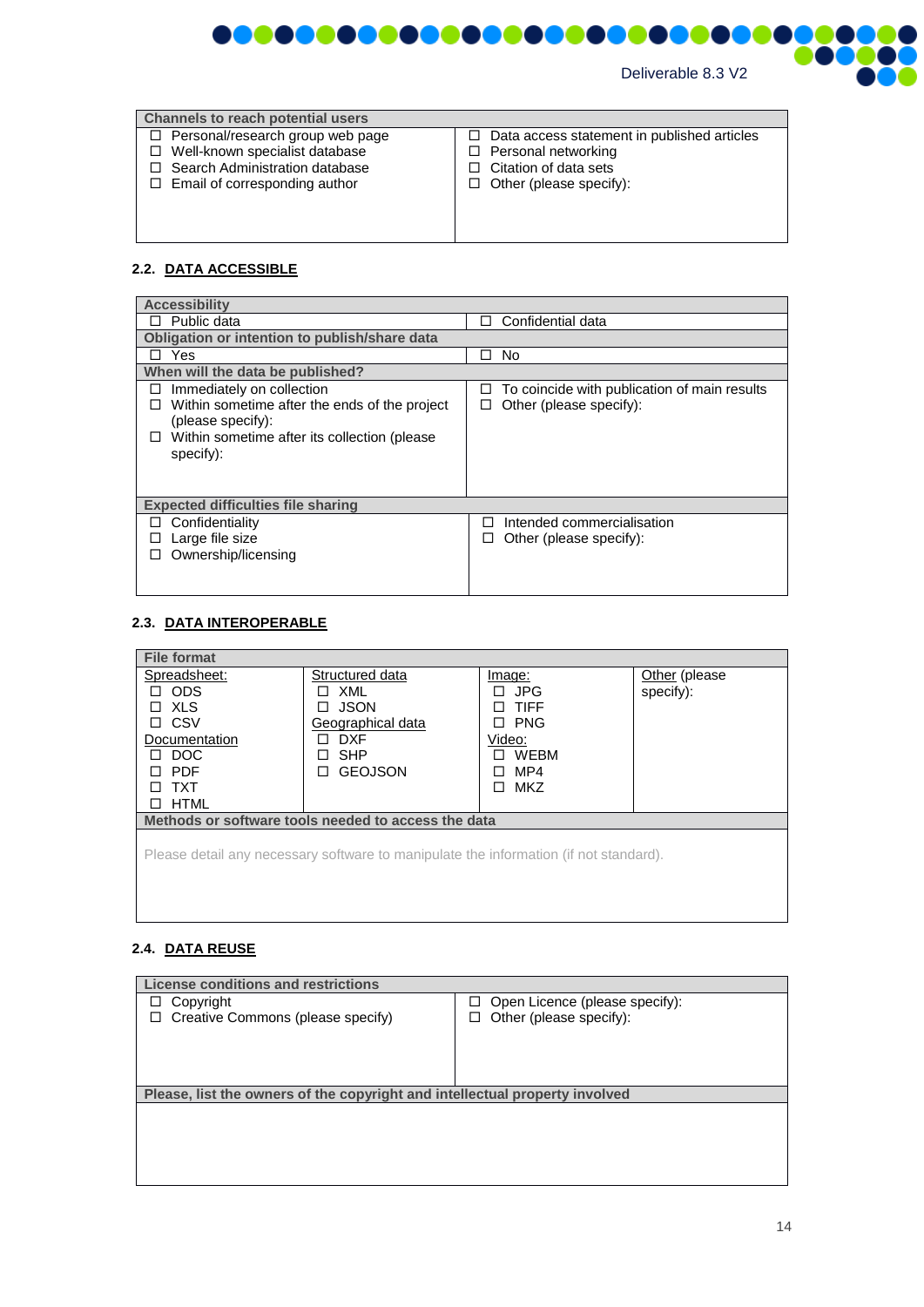

| <b>Channels to reach potential users</b>                                                                                                                     |                                                                                                                                         |
|--------------------------------------------------------------------------------------------------------------------------------------------------------------|-----------------------------------------------------------------------------------------------------------------------------------------|
| $\Box$ Personal/research group web page<br>□ Well-known specialist database<br>$\Box$ Search Administration database<br>$\Box$ Email of corresponding author | Data access statement in published articles<br>□<br>Personal networking<br>□<br>Citation of data sets<br>$\Box$ Other (please specify): |

## **2.2. DATA ACCESSIBLE**

| <b>Accessibility</b>                                                                                                                                               |                                                                              |  |
|--------------------------------------------------------------------------------------------------------------------------------------------------------------------|------------------------------------------------------------------------------|--|
| Public data                                                                                                                                                        | Confidential data<br>a l                                                     |  |
| Obligation or intention to publish/share data                                                                                                                      |                                                                              |  |
| Yes                                                                                                                                                                | No<br>П                                                                      |  |
| When will the data be published?                                                                                                                                   |                                                                              |  |
| Immediately on collection<br>ΙI<br>Within sometime after the ends of the project<br>(please specify):<br>Within sometime after its collection (please<br>specify): | To coincide with publication of main results<br>ப<br>Other (please specify): |  |
| <b>Expected difficulties file sharing</b>                                                                                                                          |                                                                              |  |
| Confidentiality                                                                                                                                                    | Intended commercialisation<br>ΙI                                             |  |
| Large file size<br>ப                                                                                                                                               | Other (please specify):<br>ப                                                 |  |
| Ownership/licensing                                                                                                                                                |                                                                              |  |
|                                                                                                                                                                    |                                                                              |  |

## **2.3. DATA INTEROPERABLE**

| <b>File format</b>                                                                    |                            |                 |                |
|---------------------------------------------------------------------------------------|----------------------------|-----------------|----------------|
| Spreadsheet:                                                                          | Structured data            | Image:          | Other (please) |
| <b>ODS</b>                                                                            | XML                        | JPG             | specify):      |
| XLS<br>П                                                                              | <b>JSON</b>                | <b>TIFF</b>     |                |
| <b>CSV</b><br>п                                                                       | Geographical data          | <b>PNG</b>      |                |
| Documentation                                                                         | <b>DXF</b>                 | Video:          |                |
| DOC<br>П                                                                              | <b>SHP</b><br>$\mathsf{L}$ | <b>WEBM</b>     |                |
| <b>PDF</b>                                                                            | <b>GEOJSON</b><br>П        | MP4             |                |
| TXT                                                                                   |                            | <b>MKZ</b><br>П |                |
| <b>HTML</b>                                                                           |                            |                 |                |
| Methods or software tools needed to access the data                                   |                            |                 |                |
| Please detail any necessary software to manipulate the information (if not standard). |                            |                 |                |

### **2.4. DATA REUSE**

| License conditions and restrictions                                         |                                                                       |
|-----------------------------------------------------------------------------|-----------------------------------------------------------------------|
| Copyright<br>□<br>Creative Commons (please specify)<br>□                    | Open Licence (please specify):<br>□.<br>Other (please specify):<br>□. |
| Please, list the owners of the copyright and intellectual property involved |                                                                       |
|                                                                             |                                                                       |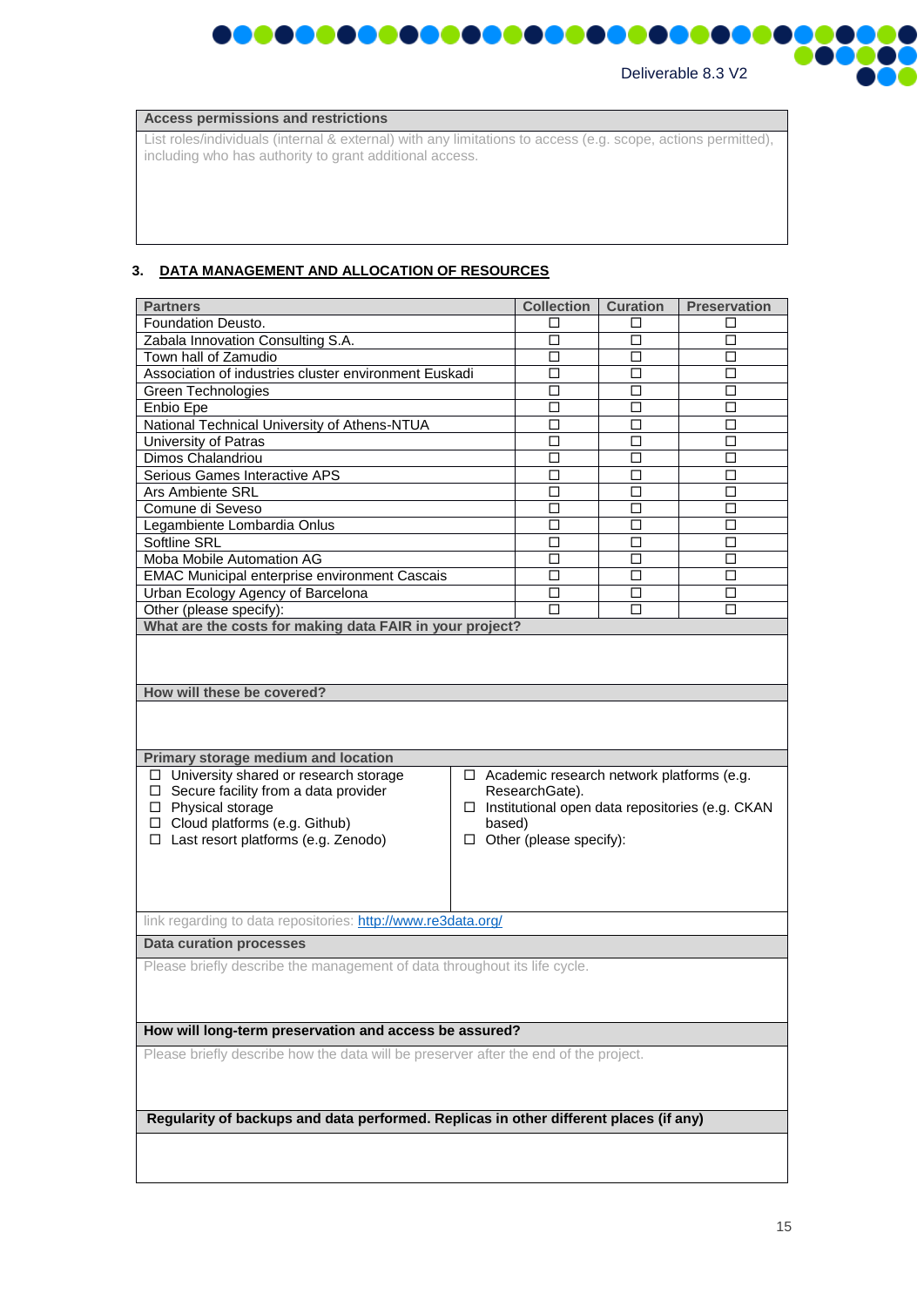

|                    | 000000 |  |
|--------------------|--------|--|
| Deliverable 8.3 V2 |        |  |

| <b>Access permissions and restrictions</b> |  |
|--------------------------------------------|--|
|--------------------------------------------|--|

List roles/individuals (internal & external) with any limitations to access (e.g. scope, actions permitted), including who has authority to grant additional access.

#### **3. DATA MANAGEMENT AND ALLOCATION OF RESOURCES**

| <b>Partners</b>                                                                                                                                                                                                                           |                                                                                                                                                                          | <b>Collection</b> | <b>Curation</b> | <b>Preservation</b> |
|-------------------------------------------------------------------------------------------------------------------------------------------------------------------------------------------------------------------------------------------|--------------------------------------------------------------------------------------------------------------------------------------------------------------------------|-------------------|-----------------|---------------------|
| Foundation Deusto.                                                                                                                                                                                                                        |                                                                                                                                                                          | □                 | п               | П                   |
| Zabala Innovation Consulting S.A.                                                                                                                                                                                                         |                                                                                                                                                                          | $\Box$            | $\Box$          | □                   |
| Town hall of Zamudio                                                                                                                                                                                                                      |                                                                                                                                                                          | п                 | П               | п                   |
| Association of industries cluster environment Euskadi                                                                                                                                                                                     |                                                                                                                                                                          | п                 | П               | □                   |
| Green Technologies                                                                                                                                                                                                                        |                                                                                                                                                                          | □                 | $\Box$          | □                   |
| Enbio Epe                                                                                                                                                                                                                                 |                                                                                                                                                                          | □                 | □               | □                   |
| National Technical University of Athens-NTUA                                                                                                                                                                                              |                                                                                                                                                                          | □                 | □               | □                   |
| University of Patras                                                                                                                                                                                                                      |                                                                                                                                                                          | п                 | п               | п                   |
| Dimos Chalandriou                                                                                                                                                                                                                         |                                                                                                                                                                          | □                 | □               | □                   |
| Serious Games Interactive APS                                                                                                                                                                                                             |                                                                                                                                                                          | □                 | □               | □                   |
| Ars Ambiente SRL                                                                                                                                                                                                                          |                                                                                                                                                                          | □                 | □               | □                   |
| Comune di Seveso                                                                                                                                                                                                                          |                                                                                                                                                                          | □                 | П               | □                   |
| Legambiente Lombardia Onlus                                                                                                                                                                                                               |                                                                                                                                                                          | □                 | □               | □                   |
| Softline SRL                                                                                                                                                                                                                              |                                                                                                                                                                          | п                 | п               | □                   |
| Moba Mobile Automation AG                                                                                                                                                                                                                 |                                                                                                                                                                          | □                 | П               | □                   |
| <b>EMAC Municipal enterprise environment Cascais</b>                                                                                                                                                                                      |                                                                                                                                                                          | п                 | п               | □                   |
| Urban Ecology Agency of Barcelona                                                                                                                                                                                                         |                                                                                                                                                                          | □                 | □               | ◻                   |
| Other (please specify):                                                                                                                                                                                                                   |                                                                                                                                                                          | П                 | П               | П                   |
| What are the costs for making data FAIR in your project?                                                                                                                                                                                  |                                                                                                                                                                          |                   |                 |                     |
| Primary storage medium and location<br>□ University shared or research storage<br>$\Box$ Secure facility from a data provider<br>□ Physical storage<br>$\Box$ Cloud platforms (e.g. Github)<br>$\Box$ Last resort platforms (e.g. Zenodo) | $\Box$ Academic research network platforms (e.g.<br>ResearchGate).<br>$\Box$ Institutional open data repositories (e.g. CKAN<br>based)<br>$\Box$ Other (please specify): |                   |                 |                     |
| link regarding to data repositories: http://www.re3data.org/                                                                                                                                                                              |                                                                                                                                                                          |                   |                 |                     |
| <b>Data curation processes</b>                                                                                                                                                                                                            |                                                                                                                                                                          |                   |                 |                     |
| Please briefly describe the management of data throughout its life cycle.                                                                                                                                                                 |                                                                                                                                                                          |                   |                 |                     |
|                                                                                                                                                                                                                                           |                                                                                                                                                                          |                   |                 |                     |
| How will long-term preservation and access be assured?                                                                                                                                                                                    |                                                                                                                                                                          |                   |                 |                     |
| Please briefly describe how the data will be preserver after the end of the project.                                                                                                                                                      |                                                                                                                                                                          |                   |                 |                     |
|                                                                                                                                                                                                                                           |                                                                                                                                                                          |                   |                 |                     |
| Regularity of backups and data performed. Replicas in other different places (if any)                                                                                                                                                     |                                                                                                                                                                          |                   |                 |                     |
|                                                                                                                                                                                                                                           |                                                                                                                                                                          |                   |                 |                     |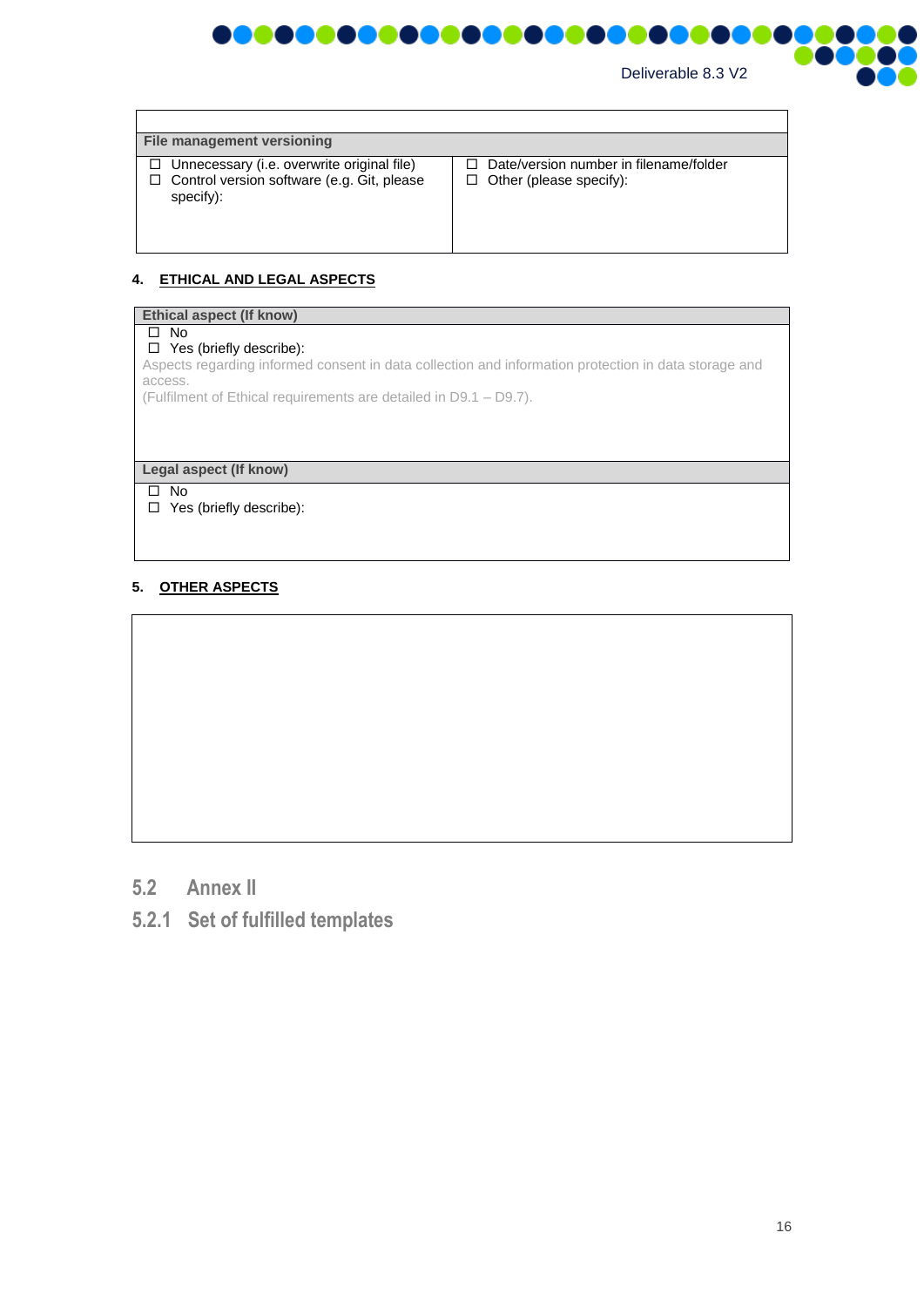

| File management versioning                                                                                             |                                                                          |
|------------------------------------------------------------------------------------------------------------------------|--------------------------------------------------------------------------|
| $\Box$ Unnecessary (i.e. overwrite original file)<br>$\Box$ Control version software (e.g. Git, please<br>$specify)$ : | Date/version number in filename/folder<br>$\Box$ Other (please specify): |

#### **4. ETHICAL AND LEGAL ASPECTS**

# **Ethical aspect (If know)**  $\Box$  No □ Yes (briefly describe): Aspects regarding informed consent in data collection and information protection in data storage and access. (Fulfilment of Ethical requirements are detailed in D9.1 – D9.7). **Legal aspect (If know)** No □ Yes (briefly describe):

## **5. OTHER ASPECTS**

- <span id="page-15-0"></span>**5.2 Annex II**
- <span id="page-15-1"></span>**5.2.1 Set of fulfilled templates**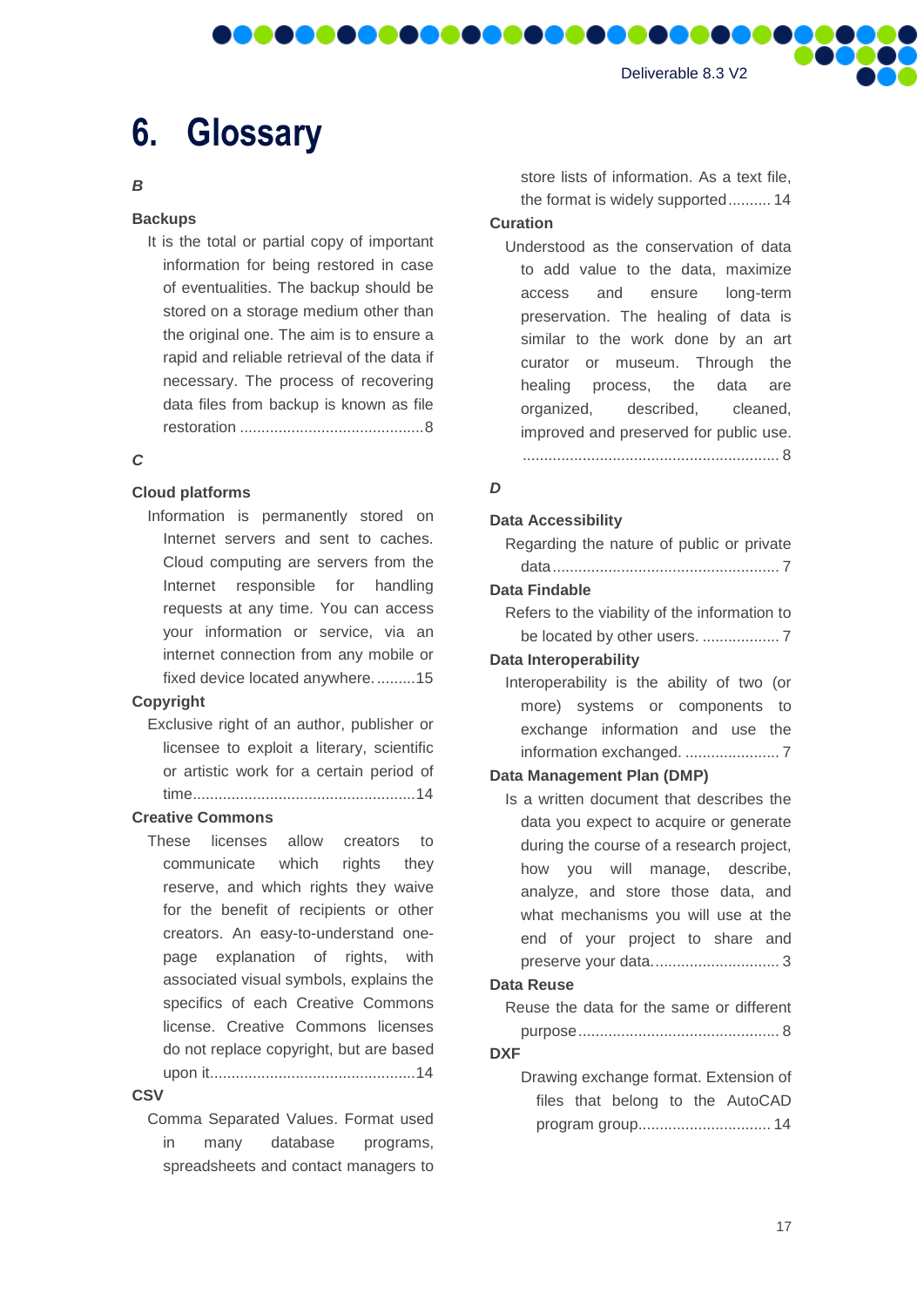# <span id="page-16-0"></span>**6. Glossary**

#### *B*

#### **Backups**

It is the total or partial copy of important information for being restored in case of eventualities. The backup should be stored on a storage medium other than the original one. The aim is to ensure a rapid and reliable retrieval of the data if necessary. The process of recovering data files from backup is known as file restoration ...........................................8

**MAG** 

**IT IT** 

#### *C*

#### **Cloud platforms**

Information is permanently stored on Internet servers and sent to caches. Cloud computing are servers from the Internet responsible for handling requests at any time. You can access your information or service, via an internet connection from any mobile or fixed device located anywhere..........15

#### **Copyright**

Exclusive right of an author, publisher or licensee to exploit a literary, scientific or artistic work for a certain period of time....................................................14

#### **Creative Commons**

These licenses allow creators to communicate which rights they reserve, and which rights they waive for the benefit of recipients or other creators. An easy-to-understand onepage explanation of rights, with associated visual symbols, explains the specifics of each Creative Commons license. Creative Commons licenses do not replace copyright, but are based upon it................................................14

#### **CSV**

Comma Separated Values. Format used in many database programs, spreadsheets and contact managers to store lists of information. As a text file, the format is widely supported.......... 14

## **Curation**

DOOOOO

Understood as the conservation of data to add value to the data, maximize access and ensure long-term preservation. The healing of data is similar to the work done by an art curator or museum. Through the healing process, the data are organized, described, cleaned, improved and preserved for public use. ............................................................ 8

#### *D*

#### **Data Accessibility**

| Regarding the nature of public or private     |
|-----------------------------------------------|
|                                               |
| Data Findable                                 |
| Refers to the viability of the information to |
|                                               |
| <b>Data Interoperability</b>                  |
| Interoperability is the ability of two (or    |
| more) systems or components to                |
| exchange information and use the              |

exchange information and use the information exchanged. ...................... 7

#### **Data Management Plan (DMP)**

Is a written document that describes the data you expect to acquire or generate during the course of a research project, how you will manage, describe, analyze, and store those data, and what mechanisms you will use at the end of your project to share and preserve your data.............................. 3

#### **Data Reuse**

Reuse the data for the same or different purpose............................................... 8

#### **DXF**

Drawing exchange format. Extension of files that belong to the AutoCAD program group............................... 14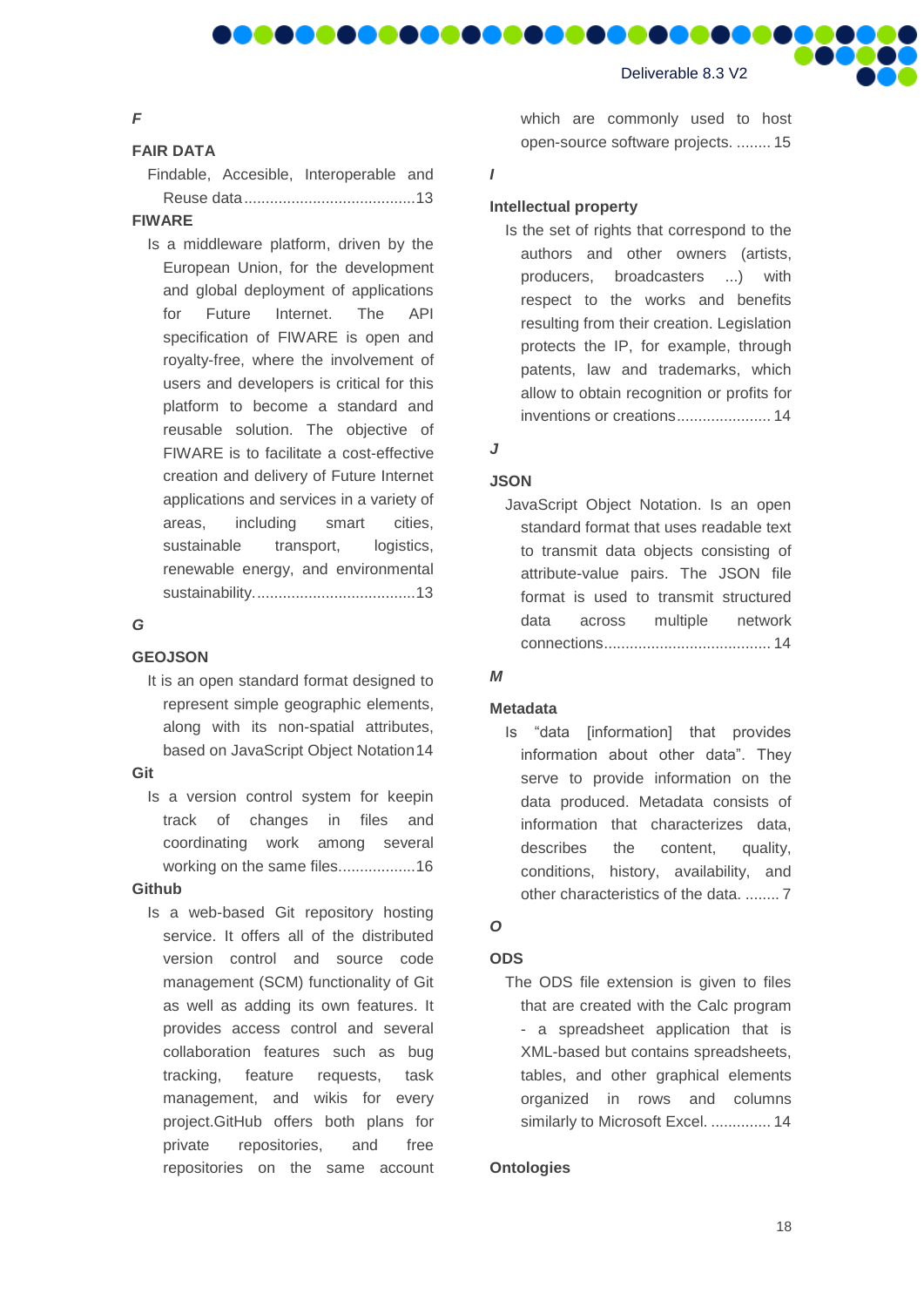#### *F*

#### **FAIR DATA**

Findable, Accesible, Interoperable and Reuse data........................................13

**DO O** 

DOOI

#### **FIWARE**

Is a middleware platform, driven by the European Union, for the development and global deployment of applications for Future Internet. The API specification of FIWARE is open and royalty-free, where the involvement of users and developers is critical for this platform to become a standard and reusable solution. The objective of FIWARE is to facilitate a cost-effective creation and delivery of Future Internet applications and services in a variety of areas, including smart cities, sustainable transport, logistics, renewable energy, and environmental sustainability......................................13

#### *G*

#### **GEOJSON**

It is an open standard format designed to represent simple geographic elements, along with its non-spatial attributes, based on JavaScript Object Notation14

#### **Git**

Is a version control system for keepin track of changes in files and coordinating work among several working on the same files..................16

#### **Github**

Is a web-based Git repository hosting service. It offers all of the distributed version control and source code management (SCM) functionality of Git as well as adding its own features. It provides access control and several collaboration features such as bug tracking, feature requests, task management, and wikis for every project.GitHub offers both plans for private repositories, and free repositories on the same account

which are commonly used to host open-source software projects. ........ 15

#### *I*

**MO** 

#### **Intellectual property**

Is the set of rights that correspond to the authors and other owners (artists, producers, broadcasters ...) with respect to the works and benefits resulting from their creation. Legislation protects the IP, for example, through patents, law and trademarks, which allow to obtain recognition or profits for inventions or creations...................... 14

# *J*

#### **JSON**

JavaScript Object Notation. Is an open standard format that uses readable text to transmit data objects consisting of attribute-value pairs. The JSON file format is used to transmit structured data across multiple network connections....................................... 14

#### *M*

#### **Metadata**

Is "data [information] that provides information about other data". They serve to provide information on the data produced. Metadata consists of information that characterizes data, describes the content, quality, conditions, history, availability, and other characteristics of the data. ........ 7

## *O*

#### **ODS**

The ODS file extension is given to files that are created with the Calc program - a spreadsheet application that is XML-based but contains spreadsheets, tables, and other graphical elements organized in rows and columns similarly to Microsoft Excel. .............. 14

#### **Ontologies**